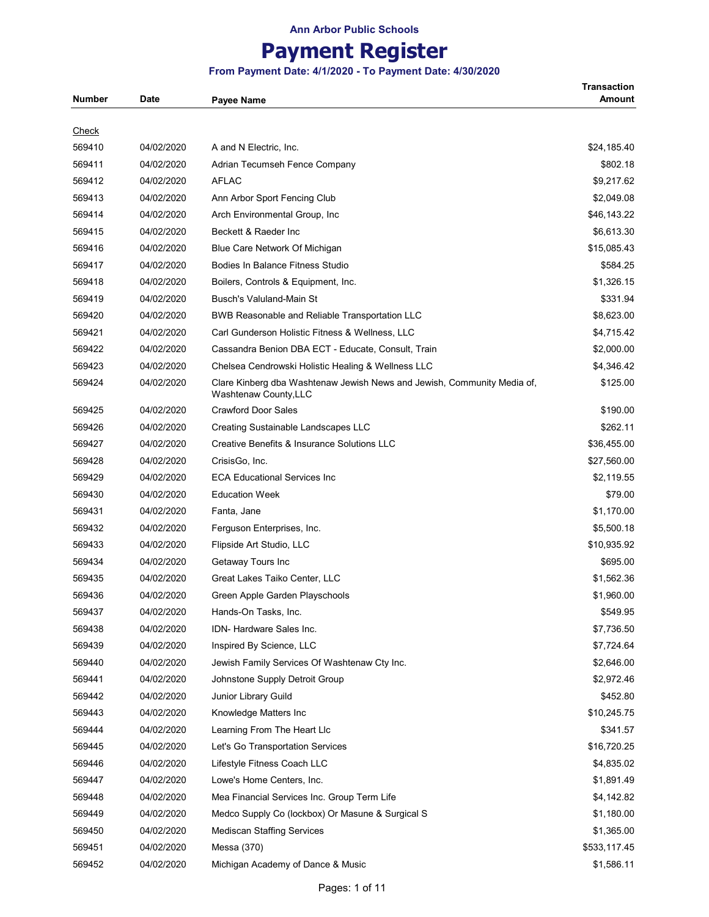# **Payment Register**

### **From Payment Date: 4/1/2020 - To Payment Date: 4/30/2020**

**Transaction** 

| <b>Number</b> | <b>Date</b> | <b>Payee Name</b>                                                                                | Amount       |
|---------------|-------------|--------------------------------------------------------------------------------------------------|--------------|
|               |             |                                                                                                  |              |
| <b>Check</b>  |             |                                                                                                  |              |
| 569410        | 04/02/2020  | A and N Electric, Inc.                                                                           | \$24,185.40  |
| 569411        | 04/02/2020  | Adrian Tecumseh Fence Company                                                                    | \$802.18     |
| 569412        | 04/02/2020  | <b>AFLAC</b>                                                                                     | \$9,217.62   |
| 569413        | 04/02/2020  | Ann Arbor Sport Fencing Club                                                                     | \$2,049.08   |
| 569414        | 04/02/2020  | Arch Environmental Group, Inc.                                                                   | \$46,143.22  |
| 569415        | 04/02/2020  | Beckett & Raeder Inc                                                                             | \$6,613.30   |
| 569416        | 04/02/2020  | Blue Care Network Of Michigan                                                                    | \$15,085.43  |
| 569417        | 04/02/2020  | Bodies In Balance Fitness Studio                                                                 | \$584.25     |
| 569418        | 04/02/2020  | Boilers, Controls & Equipment, Inc.                                                              | \$1,326.15   |
| 569419        | 04/02/2020  | <b>Busch's Valuland-Main St</b>                                                                  | \$331.94     |
| 569420        | 04/02/2020  | BWB Reasonable and Reliable Transportation LLC                                                   | \$8,623.00   |
| 569421        | 04/02/2020  | Carl Gunderson Holistic Fitness & Wellness, LLC                                                  | \$4,715.42   |
| 569422        | 04/02/2020  | Cassandra Benion DBA ECT - Educate, Consult, Train                                               | \$2,000.00   |
| 569423        | 04/02/2020  | Chelsea Cendrowski Holistic Healing & Wellness LLC                                               | \$4,346.42   |
| 569424        | 04/02/2020  | Clare Kinberg dba Washtenaw Jewish News and Jewish, Community Media of,<br>Washtenaw County, LLC | \$125.00     |
| 569425        | 04/02/2020  | <b>Crawford Door Sales</b>                                                                       | \$190.00     |
| 569426        | 04/02/2020  | Creating Sustainable Landscapes LLC                                                              | \$262.11     |
| 569427        | 04/02/2020  | Creative Benefits & Insurance Solutions LLC                                                      | \$36,455.00  |
| 569428        | 04/02/2020  | CrisisGo, Inc.                                                                                   | \$27,560.00  |
| 569429        | 04/02/2020  | <b>ECA Educational Services Inc</b>                                                              | \$2,119.55   |
| 569430        | 04/02/2020  | <b>Education Week</b>                                                                            | \$79.00      |
| 569431        | 04/02/2020  | Fanta, Jane                                                                                      | \$1,170.00   |
| 569432        | 04/02/2020  | Ferguson Enterprises, Inc.                                                                       | \$5,500.18   |
| 569433        | 04/02/2020  | Flipside Art Studio, LLC                                                                         | \$10,935.92  |
| 569434        | 04/02/2020  | Getaway Tours Inc                                                                                | \$695.00     |
| 569435        | 04/02/2020  | Great Lakes Taiko Center, LLC                                                                    | \$1,562.36   |
| 569436        | 04/02/2020  | Green Apple Garden Playschools                                                                   | \$1,960.00   |
| 569437        | 04/02/2020  | Hands-On Tasks, Inc.                                                                             | \$549.95     |
| 569438        | 04/02/2020  | IDN- Hardware Sales Inc.                                                                         | \$7,736.50   |
| 569439        | 04/02/2020  | Inspired By Science, LLC                                                                         | \$7,724.64   |
| 569440        | 04/02/2020  | Jewish Family Services Of Washtenaw Cty Inc.                                                     | \$2,646.00   |
| 569441        | 04/02/2020  | Johnstone Supply Detroit Group                                                                   | \$2,972.46   |
| 569442        | 04/02/2020  | Junior Library Guild                                                                             | \$452.80     |
| 569443        | 04/02/2020  | Knowledge Matters Inc                                                                            | \$10,245.75  |
| 569444        | 04/02/2020  | Learning From The Heart Llc                                                                      | \$341.57     |
| 569445        | 04/02/2020  | Let's Go Transportation Services                                                                 | \$16,720.25  |
| 569446        | 04/02/2020  | Lifestyle Fitness Coach LLC                                                                      | \$4,835.02   |
| 569447        | 04/02/2020  | Lowe's Home Centers, Inc.                                                                        | \$1,891.49   |
| 569448        | 04/02/2020  | Mea Financial Services Inc. Group Term Life                                                      | \$4,142.82   |
| 569449        | 04/02/2020  | Medco Supply Co (lockbox) Or Masune & Surgical S                                                 | \$1,180.00   |
| 569450        | 04/02/2020  | <b>Mediscan Staffing Services</b>                                                                | \$1,365.00   |
| 569451        | 04/02/2020  | Messa (370)                                                                                      | \$533,117.45 |
| 569452        | 04/02/2020  | Michigan Academy of Dance & Music                                                                | \$1,586.11   |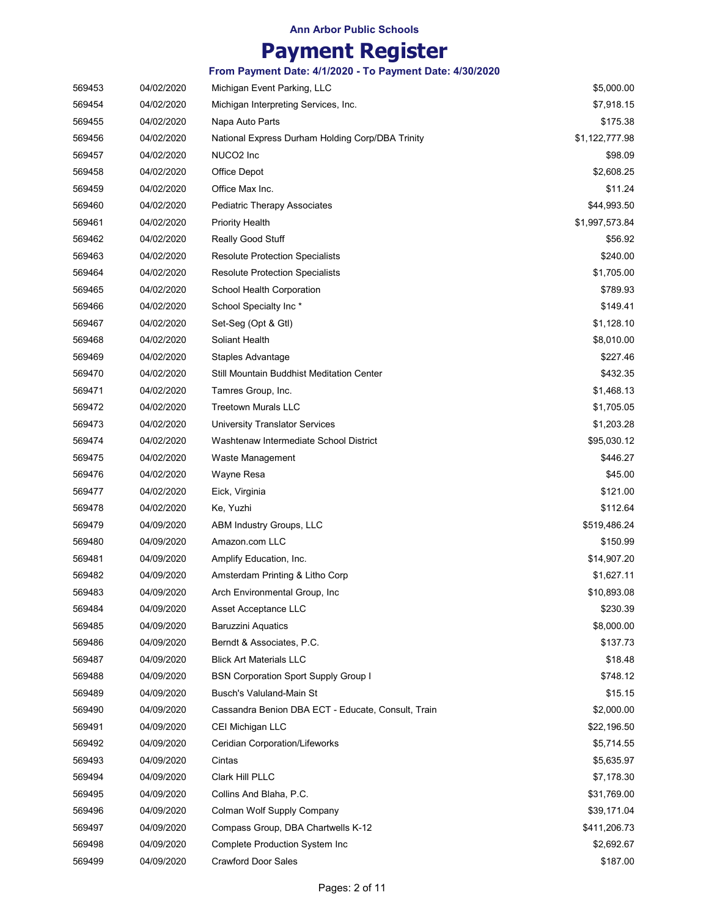# **Payment Register**

|        |            | From Payment Date: 4/1/2020 - To Payment Date: 4/30/2020 |                |
|--------|------------|----------------------------------------------------------|----------------|
| 569453 | 04/02/2020 | Michigan Event Parking, LLC                              | \$5,000.00     |
| 569454 | 04/02/2020 | Michigan Interpreting Services, Inc.                     | \$7,918.15     |
| 569455 | 04/02/2020 | Napa Auto Parts                                          | \$175.38       |
| 569456 | 04/02/2020 | National Express Durham Holding Corp/DBA Trinity         | \$1,122,777.98 |
| 569457 | 04/02/2020 | NUCO2 Inc                                                | \$98.09        |
| 569458 | 04/02/2020 | Office Depot                                             | \$2,608.25     |
| 569459 | 04/02/2020 | Office Max Inc.                                          | \$11.24        |
| 569460 | 04/02/2020 | Pediatric Therapy Associates                             | \$44,993.50    |
| 569461 | 04/02/2020 | <b>Priority Health</b>                                   | \$1,997,573.84 |
| 569462 | 04/02/2020 | Really Good Stuff                                        | \$56.92        |
| 569463 | 04/02/2020 | <b>Resolute Protection Specialists</b>                   | \$240.00       |
| 569464 | 04/02/2020 | <b>Resolute Protection Specialists</b>                   | \$1,705.00     |
| 569465 | 04/02/2020 | School Health Corporation                                | \$789.93       |
| 569466 | 04/02/2020 | School Specialty Inc*                                    | \$149.41       |
| 569467 | 04/02/2020 | Set-Seg (Opt & Gtl)                                      | \$1,128.10     |
| 569468 | 04/02/2020 | Soliant Health                                           | \$8,010.00     |
| 569469 | 04/02/2020 | Staples Advantage                                        | \$227.46       |
| 569470 | 04/02/2020 | Still Mountain Buddhist Meditation Center                | \$432.35       |
| 569471 | 04/02/2020 | Tamres Group, Inc.                                       | \$1,468.13     |
| 569472 | 04/02/2020 | <b>Treetown Murals LLC</b>                               | \$1,705.05     |
| 569473 | 04/02/2020 | University Translator Services                           | \$1,203.28     |
| 569474 | 04/02/2020 | Washtenaw Intermediate School District                   | \$95,030.12    |
| 569475 | 04/02/2020 | Waste Management                                         | \$446.27       |
| 569476 | 04/02/2020 | Wayne Resa                                               | \$45.00        |
| 569477 | 04/02/2020 | Eick, Virginia                                           | \$121.00       |
| 569478 | 04/02/2020 | Ke, Yuzhi                                                | \$112.64       |
| 569479 | 04/09/2020 | ABM Industry Groups, LLC                                 | \$519,486.24   |
| 569480 | 04/09/2020 | Amazon.com LLC                                           | \$150.99       |
| 569481 | 04/09/2020 | Amplify Education, Inc.                                  | \$14,907.20    |
| 569482 | 04/09/2020 | Amsterdam Printing & Litho Corp                          | \$1,627.11     |
| 569483 | 04/09/2020 | Arch Environmental Group, Inc.                           | \$10,893.08    |
| 569484 | 04/09/2020 | Asset Acceptance LLC                                     | \$230.39       |
| 569485 | 04/09/2020 | <b>Baruzzini Aquatics</b>                                | \$8,000.00     |
| 569486 | 04/09/2020 | Berndt & Associates, P.C.                                | \$137.73       |
| 569487 | 04/09/2020 | <b>Blick Art Materials LLC</b>                           | \$18.48        |
| 569488 | 04/09/2020 | <b>BSN Corporation Sport Supply Group I</b>              | \$748.12       |
| 569489 | 04/09/2020 | Busch's Valuland-Main St                                 | \$15.15        |
| 569490 | 04/09/2020 | Cassandra Benion DBA ECT - Educate, Consult, Train       | \$2,000.00     |
| 569491 | 04/09/2020 | CEI Michigan LLC                                         | \$22,196.50    |
| 569492 | 04/09/2020 | Ceridian Corporation/Lifeworks                           | \$5,714.55     |
| 569493 | 04/09/2020 | Cintas                                                   | \$5,635.97     |
| 569494 | 04/09/2020 | Clark Hill PLLC                                          | \$7,178.30     |
| 569495 | 04/09/2020 | Collins And Blaha, P.C.                                  | \$31,769.00    |
| 569496 | 04/09/2020 | Colman Wolf Supply Company                               | \$39,171.04    |
| 569497 | 04/09/2020 | Compass Group, DBA Chartwells K-12                       | \$411,206.73   |
| 569498 | 04/09/2020 | Complete Production System Inc                           | \$2,692.67     |
| 569499 | 04/09/2020 | Crawford Door Sales                                      | \$187.00       |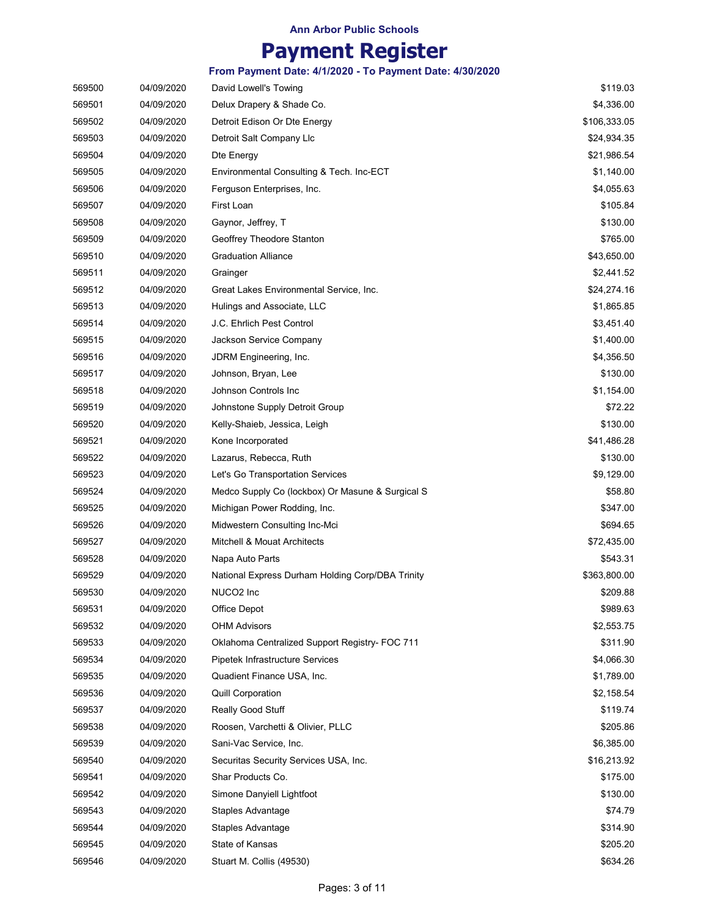| 569500 | 04/09/2020 | David Lowell's Towing                            | \$119.03     |
|--------|------------|--------------------------------------------------|--------------|
| 569501 | 04/09/2020 | Delux Drapery & Shade Co.                        | \$4,336.00   |
| 569502 | 04/09/2020 | Detroit Edison Or Dte Energy                     | \$106,333.05 |
| 569503 | 04/09/2020 | Detroit Salt Company Llc                         | \$24,934.35  |
| 569504 | 04/09/2020 | Dte Energy                                       | \$21,986.54  |
| 569505 | 04/09/2020 | Environmental Consulting & Tech. Inc-ECT         | \$1,140.00   |
| 569506 | 04/09/2020 | Ferguson Enterprises, Inc.                       | \$4,055.63   |
| 569507 | 04/09/2020 | First Loan                                       | \$105.84     |
| 569508 | 04/09/2020 | Gaynor, Jeffrey, T                               | \$130.00     |
| 569509 | 04/09/2020 | Geoffrey Theodore Stanton                        | \$765.00     |
| 569510 | 04/09/2020 | <b>Graduation Alliance</b>                       | \$43,650.00  |
| 569511 | 04/09/2020 | Grainger                                         | \$2,441.52   |
| 569512 | 04/09/2020 | Great Lakes Environmental Service, Inc.          | \$24,274.16  |
| 569513 | 04/09/2020 | Hulings and Associate, LLC                       | \$1,865.85   |
| 569514 | 04/09/2020 | J.C. Ehrlich Pest Control                        | \$3,451.40   |
| 569515 | 04/09/2020 | Jackson Service Company                          | \$1,400.00   |
| 569516 | 04/09/2020 | JDRM Engineering, Inc.                           | \$4,356.50   |
| 569517 | 04/09/2020 | Johnson, Bryan, Lee                              | \$130.00     |
| 569518 | 04/09/2020 | Johnson Controls Inc                             | \$1,154.00   |
| 569519 | 04/09/2020 | Johnstone Supply Detroit Group                   | \$72.22      |
| 569520 | 04/09/2020 | Kelly-Shaieb, Jessica, Leigh                     | \$130.00     |
| 569521 | 04/09/2020 | Kone Incorporated                                | \$41,486.28  |
| 569522 | 04/09/2020 | Lazarus, Rebecca, Ruth                           | \$130.00     |
| 569523 | 04/09/2020 | Let's Go Transportation Services                 | \$9,129.00   |
| 569524 | 04/09/2020 | Medco Supply Co (lockbox) Or Masune & Surgical S | \$58.80      |
| 569525 | 04/09/2020 | Michigan Power Rodding, Inc.                     | \$347.00     |
| 569526 | 04/09/2020 | Midwestern Consulting Inc-Mci                    | \$694.65     |
| 569527 | 04/09/2020 | <b>Mitchell &amp; Mouat Architects</b>           | \$72,435.00  |
| 569528 | 04/09/2020 | Napa Auto Parts                                  | \$543.31     |
| 569529 | 04/09/2020 | National Express Durham Holding Corp/DBA Trinity | \$363,800.00 |
| 569530 | 04/09/2020 | NUCO2 Inc                                        | \$209.88     |
| 569531 | 04/09/2020 | Office Depot                                     | \$989.63     |
| 569532 | 04/09/2020 | <b>OHM Advisors</b>                              | \$2,553.75   |
| 569533 | 04/09/2020 | Oklahoma Centralized Support Registry- FOC 711   | \$311.90     |
| 569534 | 04/09/2020 | Pipetek Infrastructure Services                  | \$4,066.30   |
| 569535 | 04/09/2020 | Quadient Finance USA, Inc.                       | \$1,789.00   |
| 569536 | 04/09/2020 | <b>Quill Corporation</b>                         | \$2,158.54   |
| 569537 | 04/09/2020 | Really Good Stuff                                | \$119.74     |
| 569538 | 04/09/2020 | Roosen, Varchetti & Olivier, PLLC                | \$205.86     |
| 569539 | 04/09/2020 | Sani-Vac Service, Inc.                           | \$6,385.00   |
| 569540 | 04/09/2020 | Securitas Security Services USA, Inc.            | \$16,213.92  |
| 569541 | 04/09/2020 | Shar Products Co.                                | \$175.00     |
| 569542 | 04/09/2020 | Simone Danyiell Lightfoot                        | \$130.00     |
| 569543 | 04/09/2020 | Staples Advantage                                | \$74.79      |
| 569544 | 04/09/2020 | Staples Advantage                                | \$314.90     |
| 569545 | 04/09/2020 | State of Kansas                                  | \$205.20     |
| 569546 | 04/09/2020 | Stuart M. Collis (49530)                         | \$634.26     |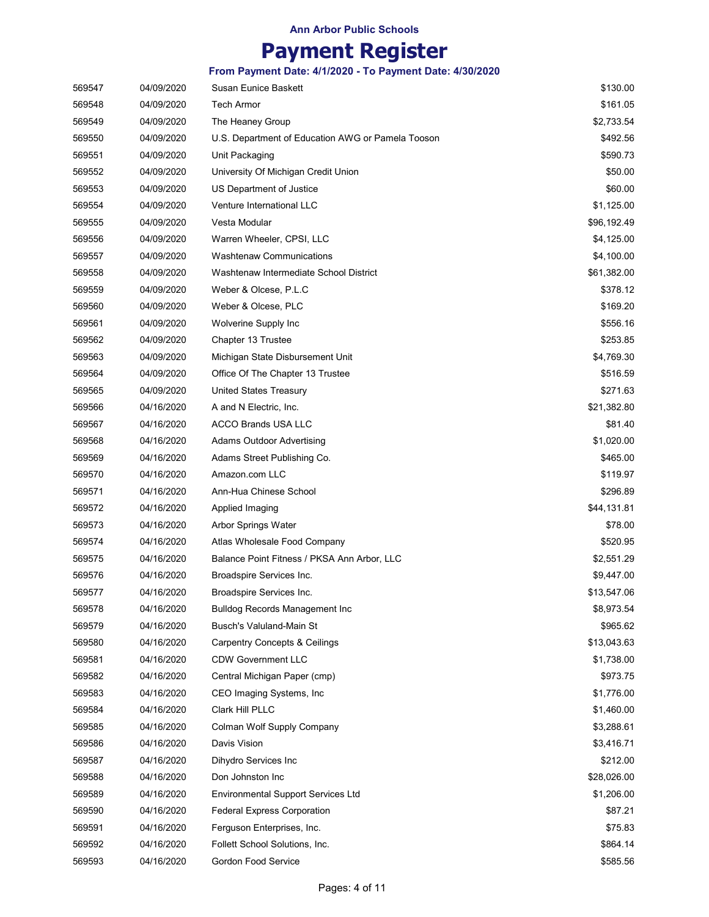| 569547 | 04/09/2020 | <b>Susan Eunice Baskett</b>                       | \$130.00    |
|--------|------------|---------------------------------------------------|-------------|
| 569548 | 04/09/2020 | <b>Tech Armor</b>                                 | \$161.05    |
| 569549 | 04/09/2020 | The Heaney Group                                  | \$2,733.54  |
| 569550 | 04/09/2020 | U.S. Department of Education AWG or Pamela Tooson | \$492.56    |
| 569551 | 04/09/2020 | Unit Packaging                                    | \$590.73    |
| 569552 | 04/09/2020 | University Of Michigan Credit Union               | \$50.00     |
| 569553 | 04/09/2020 | US Department of Justice                          | \$60.00     |
| 569554 | 04/09/2020 | <b>Venture International LLC</b>                  | \$1,125.00  |
| 569555 | 04/09/2020 | Vesta Modular                                     | \$96,192.49 |
| 569556 | 04/09/2020 | Warren Wheeler, CPSI, LLC                         | \$4,125.00  |
| 569557 | 04/09/2020 | Washtenaw Communications                          | \$4,100.00  |
| 569558 | 04/09/2020 | Washtenaw Intermediate School District            | \$61,382.00 |
| 569559 | 04/09/2020 | Weber & Olcese, P.L.C                             | \$378.12    |
| 569560 | 04/09/2020 | Weber & Olcese, PLC                               | \$169.20    |
| 569561 | 04/09/2020 | Wolverine Supply Inc                              | \$556.16    |
| 569562 | 04/09/2020 | Chapter 13 Trustee                                | \$253.85    |
| 569563 | 04/09/2020 | Michigan State Disbursement Unit                  | \$4,769.30  |
| 569564 | 04/09/2020 | Office Of The Chapter 13 Trustee                  | \$516.59    |
| 569565 | 04/09/2020 | <b>United States Treasury</b>                     | \$271.63    |
| 569566 | 04/16/2020 | A and N Electric, Inc.                            | \$21,382.80 |
| 569567 | 04/16/2020 | <b>ACCO Brands USA LLC</b>                        | \$81.40     |
| 569568 | 04/16/2020 | <b>Adams Outdoor Advertising</b>                  | \$1,020.00  |
| 569569 | 04/16/2020 | Adams Street Publishing Co.                       | \$465.00    |
| 569570 | 04/16/2020 | Amazon.com LLC                                    | \$119.97    |
| 569571 | 04/16/2020 | Ann-Hua Chinese School                            | \$296.89    |
| 569572 | 04/16/2020 | Applied Imaging                                   | \$44,131.81 |
| 569573 | 04/16/2020 | Arbor Springs Water                               | \$78.00     |
| 569574 | 04/16/2020 | Atlas Wholesale Food Company                      | \$520.95    |
| 569575 | 04/16/2020 | Balance Point Fitness / PKSA Ann Arbor, LLC       | \$2,551.29  |
| 569576 | 04/16/2020 | Broadspire Services Inc.                          | \$9,447.00  |
| 569577 | 04/16/2020 | Broadspire Services Inc.                          | \$13,547.06 |
| 569578 | 04/16/2020 | <b>Bulldog Records Management Inc</b>             | \$8,973.54  |
| 569579 | 04/16/2020 | Busch's Valuland-Main St                          | \$965.62    |
| 569580 | 04/16/2020 | <b>Carpentry Concepts &amp; Ceilings</b>          | \$13,043.63 |
| 569581 | 04/16/2020 | <b>CDW Government LLC</b>                         | \$1,738.00  |
| 569582 | 04/16/2020 | Central Michigan Paper (cmp)                      | \$973.75    |
| 569583 | 04/16/2020 | CEO Imaging Systems, Inc.                         | \$1,776.00  |
| 569584 | 04/16/2020 | Clark Hill PLLC                                   | \$1,460.00  |
| 569585 | 04/16/2020 | Colman Wolf Supply Company                        | \$3,288.61  |
| 569586 | 04/16/2020 | Davis Vision                                      | \$3,416.71  |
| 569587 | 04/16/2020 | Dihydro Services Inc                              | \$212.00    |
| 569588 | 04/16/2020 | Don Johnston Inc                                  | \$28,026.00 |
| 569589 | 04/16/2020 | <b>Environmental Support Services Ltd</b>         | \$1,206.00  |
| 569590 | 04/16/2020 | <b>Federal Express Corporation</b>                | \$87.21     |
| 569591 | 04/16/2020 | Ferguson Enterprises, Inc.                        | \$75.83     |
| 569592 | 04/16/2020 | Follett School Solutions, Inc.                    | \$864.14    |
| 569593 | 04/16/2020 | Gordon Food Service                               | \$585.56    |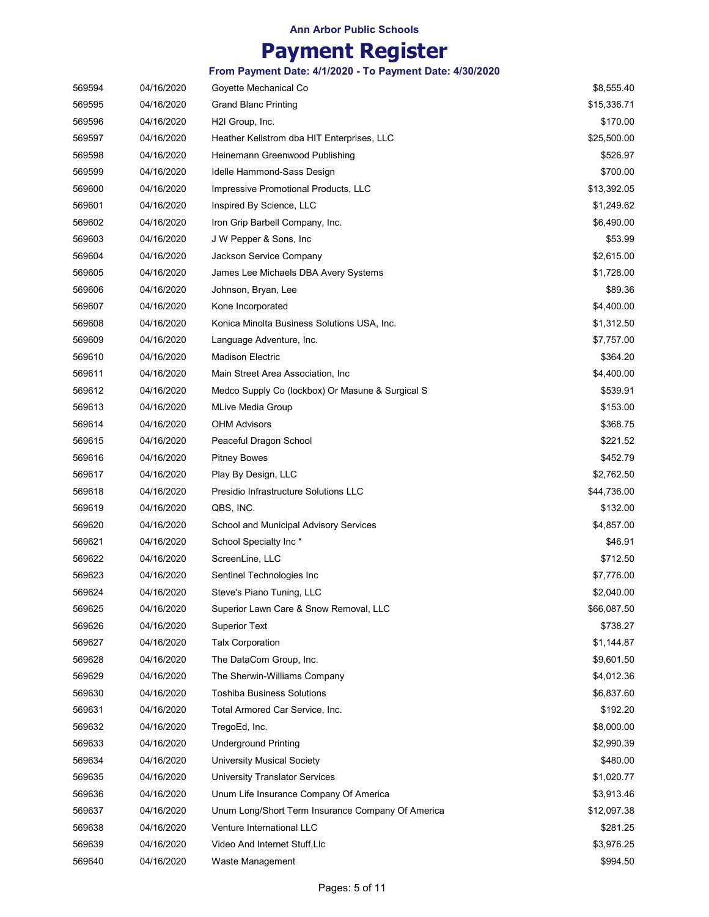| 569594 | 04/16/2020 | Goyette Mechanical Co                             | \$8,555.40  |
|--------|------------|---------------------------------------------------|-------------|
| 569595 | 04/16/2020 | <b>Grand Blanc Printing</b>                       | \$15,336.71 |
| 569596 | 04/16/2020 | H2I Group, Inc.                                   | \$170.00    |
| 569597 | 04/16/2020 | Heather Kellstrom dba HIT Enterprises, LLC        | \$25,500.00 |
| 569598 | 04/16/2020 | Heinemann Greenwood Publishing                    | \$526.97    |
| 569599 | 04/16/2020 | Idelle Hammond-Sass Design                        | \$700.00    |
| 569600 | 04/16/2020 | Impressive Promotional Products, LLC              | \$13,392.05 |
| 569601 | 04/16/2020 | Inspired By Science, LLC                          | \$1,249.62  |
| 569602 | 04/16/2020 | Iron Grip Barbell Company, Inc.                   | \$6,490.00  |
| 569603 | 04/16/2020 | J W Pepper & Sons, Inc.                           | \$53.99     |
| 569604 | 04/16/2020 | Jackson Service Company                           | \$2,615.00  |
| 569605 | 04/16/2020 | James Lee Michaels DBA Avery Systems              | \$1,728.00  |
| 569606 | 04/16/2020 | Johnson, Bryan, Lee                               | \$89.36     |
| 569607 | 04/16/2020 | Kone Incorporated                                 | \$4,400.00  |
| 569608 | 04/16/2020 | Konica Minolta Business Solutions USA, Inc.       | \$1,312.50  |
| 569609 | 04/16/2020 | Language Adventure, Inc.                          | \$7,757.00  |
| 569610 | 04/16/2020 | <b>Madison Electric</b>                           | \$364.20    |
| 569611 | 04/16/2020 | Main Street Area Association, Inc.                | \$4,400.00  |
| 569612 | 04/16/2020 | Medco Supply Co (lockbox) Or Masune & Surgical S  | \$539.91    |
| 569613 | 04/16/2020 | <b>MLive Media Group</b>                          | \$153.00    |
| 569614 | 04/16/2020 | <b>OHM Advisors</b>                               | \$368.75    |
| 569615 | 04/16/2020 | Peaceful Dragon School                            | \$221.52    |
| 569616 | 04/16/2020 | <b>Pitney Bowes</b>                               | \$452.79    |
| 569617 | 04/16/2020 | Play By Design, LLC                               | \$2,762.50  |
| 569618 | 04/16/2020 | Presidio Infrastructure Solutions LLC             | \$44,736.00 |
| 569619 | 04/16/2020 | QBS, INC.                                         | \$132.00    |
| 569620 | 04/16/2020 | School and Municipal Advisory Services            | \$4,857.00  |
| 569621 | 04/16/2020 | School Specialty Inc*                             | \$46.91     |
| 569622 | 04/16/2020 | ScreenLine, LLC                                   | \$712.50    |
| 569623 | 04/16/2020 | Sentinel Technologies Inc                         | \$7,776.00  |
| 569624 | 04/16/2020 | Steve's Piano Tuning, LLC                         | \$2,040.00  |
| 569625 | 04/16/2020 | Superior Lawn Care & Snow Removal, LLC            | \$66,087.50 |
| 569626 | 04/16/2020 | <b>Superior Text</b>                              | \$738.27    |
| 569627 | 04/16/2020 | <b>Talx Corporation</b>                           | \$1,144.87  |
| 569628 | 04/16/2020 | The DataCom Group, Inc.                           | \$9,601.50  |
| 569629 | 04/16/2020 | The Sherwin-Williams Company                      | \$4,012.36  |
| 569630 | 04/16/2020 | <b>Toshiba Business Solutions</b>                 | \$6,837.60  |
| 569631 | 04/16/2020 | Total Armored Car Service, Inc.                   | \$192.20    |
| 569632 | 04/16/2020 | TregoEd, Inc.                                     | \$8,000.00  |
| 569633 | 04/16/2020 | <b>Underground Printing</b>                       | \$2,990.39  |
| 569634 | 04/16/2020 | <b>University Musical Society</b>                 | \$480.00    |
| 569635 | 04/16/2020 | University Translator Services                    | \$1,020.77  |
| 569636 | 04/16/2020 | Unum Life Insurance Company Of America            | \$3,913.46  |
| 569637 | 04/16/2020 | Unum Long/Short Term Insurance Company Of America | \$12,097.38 |
| 569638 | 04/16/2020 | Venture International LLC                         | \$281.25    |
| 569639 | 04/16/2020 | Video And Internet Stuff, Llc                     | \$3,976.25  |
| 569640 | 04/16/2020 | Waste Management                                  | \$994.50    |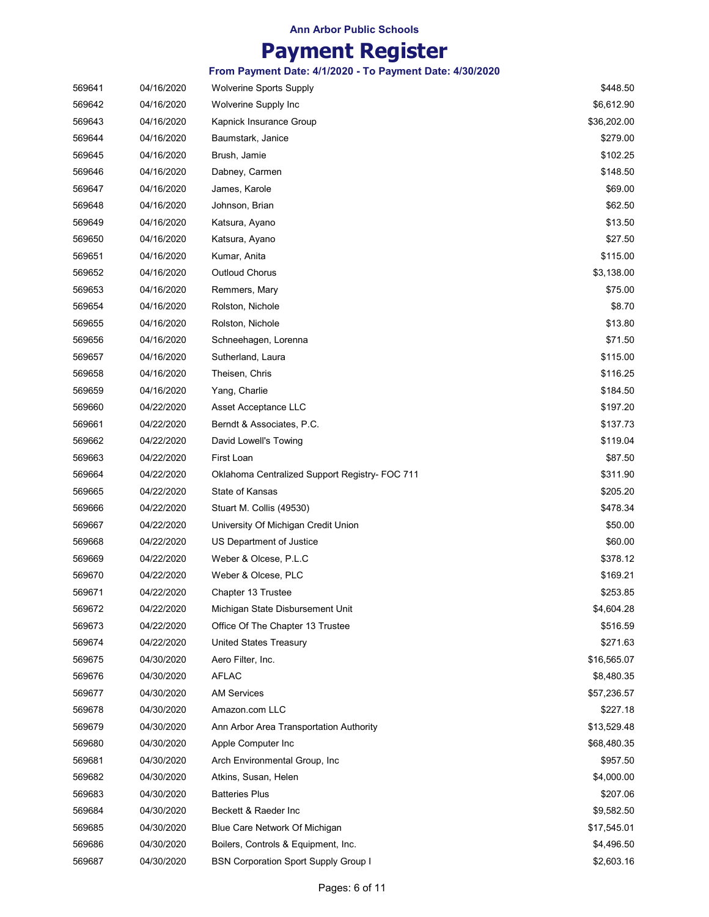| 569641 | 04/16/2020 | <b>Wolverine Sports Supply</b>                 | \$448.50    |
|--------|------------|------------------------------------------------|-------------|
| 569642 | 04/16/2020 | <b>Wolverine Supply Inc.</b>                   | \$6,612.90  |
| 569643 | 04/16/2020 | Kapnick Insurance Group                        | \$36,202.00 |
| 569644 | 04/16/2020 | Baumstark, Janice                              | \$279.00    |
| 569645 | 04/16/2020 | Brush, Jamie                                   | \$102.25    |
| 569646 | 04/16/2020 | Dabney, Carmen                                 | \$148.50    |
| 569647 | 04/16/2020 | James, Karole                                  | \$69.00     |
| 569648 | 04/16/2020 | Johnson, Brian                                 | \$62.50     |
| 569649 | 04/16/2020 | Katsura, Ayano                                 | \$13.50     |
| 569650 | 04/16/2020 | Katsura, Ayano                                 | \$27.50     |
| 569651 | 04/16/2020 | Kumar, Anita                                   | \$115.00    |
| 569652 | 04/16/2020 | Outloud Chorus                                 | \$3,138.00  |
| 569653 | 04/16/2020 | Remmers, Mary                                  | \$75.00     |
| 569654 | 04/16/2020 | Rolston, Nichole                               | \$8.70      |
| 569655 | 04/16/2020 | Rolston, Nichole                               | \$13.80     |
| 569656 | 04/16/2020 | Schneehagen, Lorenna                           | \$71.50     |
| 569657 | 04/16/2020 | Sutherland, Laura                              | \$115.00    |
| 569658 | 04/16/2020 | Theisen, Chris                                 | \$116.25    |
| 569659 | 04/16/2020 | Yang, Charlie                                  | \$184.50    |
| 569660 | 04/22/2020 | Asset Acceptance LLC                           | \$197.20    |
| 569661 | 04/22/2020 | Berndt & Associates, P.C.                      | \$137.73    |
| 569662 | 04/22/2020 | David Lowell's Towing                          | \$119.04    |
| 569663 | 04/22/2020 | First Loan                                     | \$87.50     |
| 569664 | 04/22/2020 | Oklahoma Centralized Support Registry- FOC 711 | \$311.90    |
| 569665 | 04/22/2020 | State of Kansas                                | \$205.20    |
| 569666 | 04/22/2020 | Stuart M. Collis (49530)                       | \$478.34    |
| 569667 | 04/22/2020 | University Of Michigan Credit Union            | \$50.00     |
| 569668 | 04/22/2020 | US Department of Justice                       | \$60.00     |
| 569669 | 04/22/2020 | Weber & Olcese, P.L.C                          | \$378.12    |
| 569670 | 04/22/2020 | Weber & Olcese, PLC                            | \$169.21    |
| 569671 | 04/22/2020 | Chapter 13 Trustee                             | \$253.85    |
| 569672 | 04/22/2020 | Michigan State Disbursement Unit               | \$4,604.28  |
| 569673 | 04/22/2020 | Office Of The Chapter 13 Trustee               | \$516.59    |
| 569674 | 04/22/2020 | United States Treasury                         | \$271.63    |
| 569675 | 04/30/2020 | Aero Filter, Inc.                              | \$16,565.07 |
| 569676 | 04/30/2020 | AFLAC                                          | \$8,480.35  |
| 569677 | 04/30/2020 | <b>AM Services</b>                             | \$57,236.57 |
| 569678 | 04/30/2020 | Amazon.com LLC                                 | \$227.18    |
| 569679 | 04/30/2020 | Ann Arbor Area Transportation Authority        | \$13,529.48 |
| 569680 | 04/30/2020 | Apple Computer Inc                             | \$68,480.35 |
| 569681 | 04/30/2020 | Arch Environmental Group, Inc.                 | \$957.50    |
| 569682 | 04/30/2020 | Atkins, Susan, Helen                           | \$4,000.00  |
| 569683 | 04/30/2020 | <b>Batteries Plus</b>                          | \$207.06    |
| 569684 | 04/30/2020 | Beckett & Raeder Inc                           | \$9,582.50  |
| 569685 | 04/30/2020 | Blue Care Network Of Michigan                  | \$17,545.01 |
| 569686 | 04/30/2020 | Boilers, Controls & Equipment, Inc.            | \$4,496.50  |
| 569687 | 04/30/2020 | <b>BSN Corporation Sport Supply Group I</b>    | \$2,603.16  |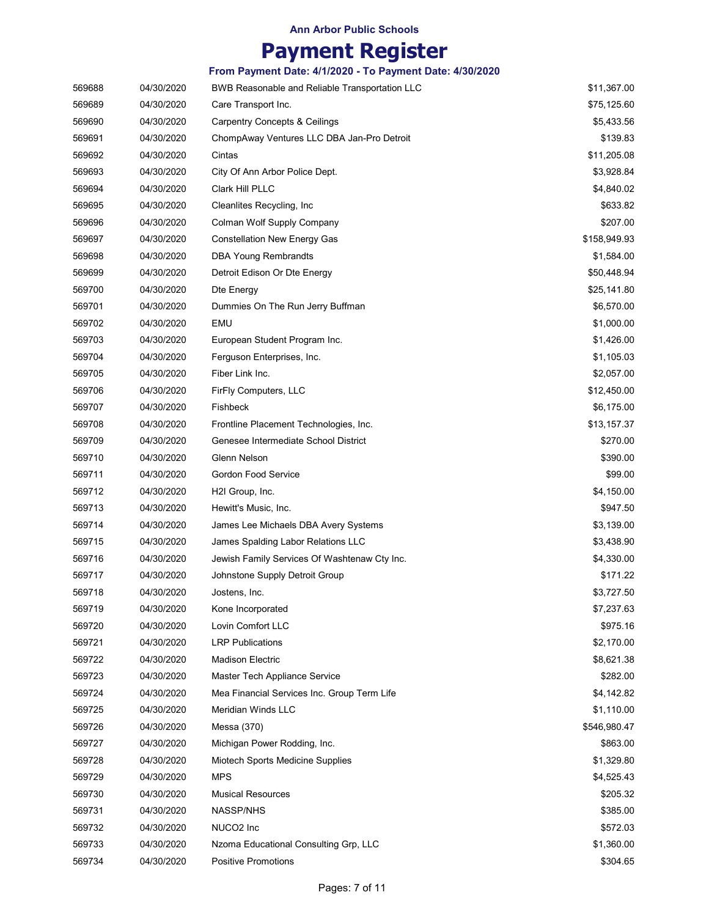## **Payment Register**

|        |            | From Payment Date: 4/1/2020 - To Payment Date: 4/30/2020 |              |
|--------|------------|----------------------------------------------------------|--------------|
| 569688 | 04/30/2020 | BWB Reasonable and Reliable Transportation LLC           | \$11,367.00  |
| 569689 | 04/30/2020 | Care Transport Inc.                                      | \$75,125.60  |
| 569690 | 04/30/2020 | Carpentry Concepts & Ceilings                            | \$5,433.56   |
| 569691 | 04/30/2020 | ChompAway Ventures LLC DBA Jan-Pro Detroit               | \$139.83     |
| 569692 | 04/30/2020 | Cintas                                                   | \$11,205.08  |
| 569693 | 04/30/2020 | City Of Ann Arbor Police Dept.                           | \$3,928.84   |
| 569694 | 04/30/2020 | Clark Hill PLLC                                          | \$4,840.02   |
| 569695 | 04/30/2020 | Cleanlites Recycling, Inc.                               | \$633.82     |
| 569696 | 04/30/2020 | Colman Wolf Supply Company                               | \$207.00     |
| 569697 | 04/30/2020 | <b>Constellation New Energy Gas</b>                      | \$158,949.93 |
| 569698 | 04/30/2020 | <b>DBA Young Rembrandts</b>                              | \$1,584.00   |
| 569699 | 04/30/2020 | Detroit Edison Or Dte Energy                             | \$50,448.94  |
| 569700 | 04/30/2020 | Dte Energy                                               | \$25,141.80  |
| 569701 | 04/30/2020 | Dummies On The Run Jerry Buffman                         | \$6,570.00   |
| 569702 | 04/30/2020 | EMU                                                      | \$1,000.00   |
| 569703 | 04/30/2020 | European Student Program Inc.                            | \$1,426.00   |
| 569704 | 04/30/2020 | Ferguson Enterprises, Inc.                               | \$1,105.03   |
| 569705 | 04/30/2020 | Fiber Link Inc.                                          | \$2,057.00   |
| 569706 | 04/30/2020 | FirFly Computers, LLC                                    | \$12,450.00  |
| 569707 | 04/30/2020 | Fishbeck                                                 | \$6,175.00   |
| 569708 | 04/30/2020 | Frontline Placement Technologies, Inc.                   | \$13,157.37  |
| 569709 | 04/30/2020 | Genesee Intermediate School District                     | \$270.00     |
| 569710 | 04/30/2020 | Glenn Nelson                                             | \$390.00     |
| 569711 | 04/30/2020 | Gordon Food Service                                      | \$99.00      |
| 569712 | 04/30/2020 | H <sub>2</sub> I Group, Inc.                             | \$4,150.00   |
| 569713 | 04/30/2020 | Hewitt's Music, Inc.                                     | \$947.50     |
| 569714 | 04/30/2020 | James Lee Michaels DBA Avery Systems                     | \$3,139.00   |
| 569715 | 04/30/2020 | James Spalding Labor Relations LLC                       | \$3,438.90   |
| 569716 | 04/30/2020 | Jewish Family Services Of Washtenaw Cty Inc.             | \$4,330.00   |
| 569717 | 04/30/2020 | Johnstone Supply Detroit Group                           | \$171.22     |
| 569718 | 04/30/2020 | Jostens, Inc.                                            | \$3,727.50   |
| 569719 | 04/30/2020 | Kone Incorporated                                        | \$7,237.63   |
| 569720 | 04/30/2020 | Lovin Comfort LLC                                        | \$975.16     |
| 569721 | 04/30/2020 | <b>LRP Publications</b>                                  | \$2,170.00   |
| 569722 | 04/30/2020 | Madison Electric                                         | \$8,621.38   |
| 569723 | 04/30/2020 | Master Tech Appliance Service                            | \$282.00     |
| 569724 | 04/30/2020 | Mea Financial Services Inc. Group Term Life              | \$4,142.82   |
| 569725 | 04/30/2020 | <b>Meridian Winds LLC</b>                                | \$1,110.00   |
| 569726 | 04/30/2020 | Messa (370)                                              | \$546,980.47 |
| 569727 | 04/30/2020 | Michigan Power Rodding, Inc.                             | \$863.00     |
| 569728 | 04/30/2020 | Miotech Sports Medicine Supplies                         | \$1,329.80   |
| 569729 | 04/30/2020 | <b>MPS</b>                                               | \$4,525.43   |
| 569730 | 04/30/2020 | <b>Musical Resources</b>                                 | \$205.32     |
| 569731 | 04/30/2020 | <b>NASSP/NHS</b>                                         | \$385.00     |
| 569732 | 04/30/2020 | NUCO <sub>2</sub> Inc                                    | \$572.03     |
| 569733 | 04/30/2020 | Nzoma Educational Consulting Grp, LLC                    | \$1,360.00   |
| 569734 | 04/30/2020 | <b>Positive Promotions</b>                               | \$304.65     |
|        |            |                                                          |              |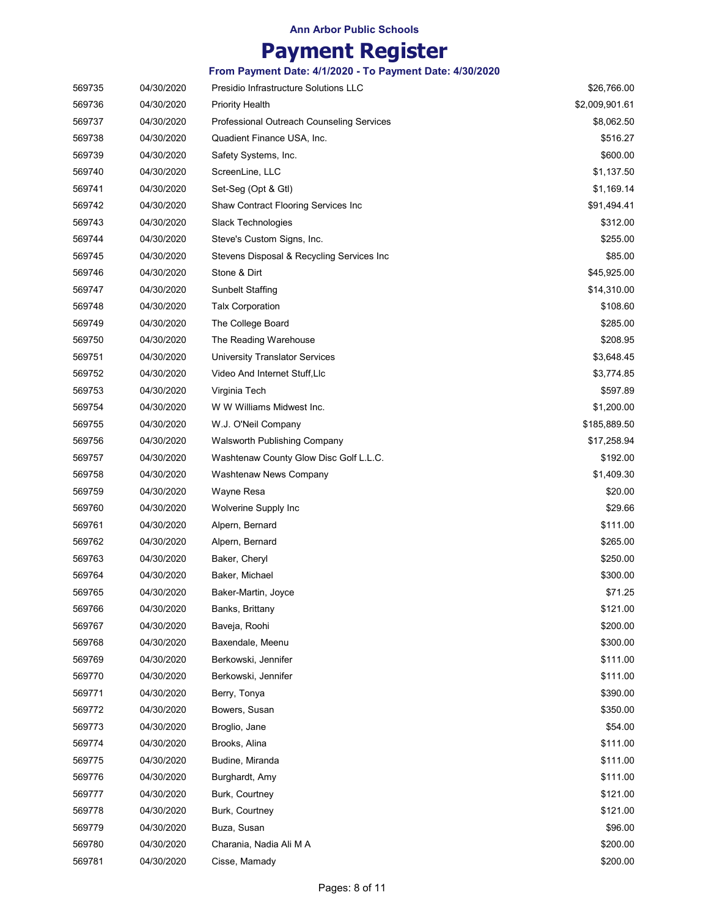|        |            | From Payment Date: 4/1/2020 - To Payment Date: 4/30/2020 |                |
|--------|------------|----------------------------------------------------------|----------------|
| 569735 | 04/30/2020 | Presidio Infrastructure Solutions LLC                    | \$26,766.00    |
| 569736 | 04/30/2020 | <b>Priority Health</b>                                   | \$2,009,901.61 |
| 569737 | 04/30/2020 | <b>Professional Outreach Counseling Services</b>         | \$8,062.50     |
| 569738 | 04/30/2020 | Quadient Finance USA, Inc.                               | \$516.27       |
| 569739 | 04/30/2020 | Safety Systems, Inc.                                     | \$600.00       |
| 569740 | 04/30/2020 | ScreenLine, LLC                                          | \$1,137.50     |
| 569741 | 04/30/2020 | Set-Seg (Opt & Gtl)                                      | \$1,169.14     |
| 569742 | 04/30/2020 | Shaw Contract Flooring Services Inc                      | \$91,494.41    |
| 569743 | 04/30/2020 | Slack Technologies                                       | \$312.00       |
| 569744 | 04/30/2020 | Steve's Custom Signs, Inc.                               | \$255.00       |
| 569745 | 04/30/2020 | Stevens Disposal & Recycling Services Inc                | \$85.00        |
| 569746 | 04/30/2020 | Stone & Dirt                                             | \$45,925.00    |
| 569747 | 04/30/2020 | Sunbelt Staffing                                         | \$14,310.00    |
| 569748 | 04/30/2020 | <b>Talx Corporation</b>                                  | \$108.60       |
| 569749 | 04/30/2020 | The College Board                                        | \$285.00       |
| 569750 | 04/30/2020 | The Reading Warehouse                                    | \$208.95       |
| 569751 | 04/30/2020 | <b>University Translator Services</b>                    | \$3,648.45     |
| 569752 | 04/30/2020 | Video And Internet Stuff,Llc                             | \$3,774.85     |
| 569753 | 04/30/2020 | Virginia Tech                                            | \$597.89       |
| 569754 | 04/30/2020 | W W Williams Midwest Inc.                                | \$1,200.00     |
| 569755 | 04/30/2020 | W.J. O'Neil Company                                      | \$185,889.50   |
| 569756 | 04/30/2020 | <b>Walsworth Publishing Company</b>                      | \$17,258.94    |
| 569757 | 04/30/2020 | Washtenaw County Glow Disc Golf L.L.C.                   | \$192.00       |
| 569758 | 04/30/2020 | Washtenaw News Company                                   | \$1,409.30     |
| 569759 | 04/30/2020 | Wayne Resa                                               | \$20.00        |
| 569760 | 04/30/2020 | Wolverine Supply Inc                                     | \$29.66        |
| 569761 | 04/30/2020 | Alpern, Bernard                                          | \$111.00       |
| 569762 | 04/30/2020 | Alpern, Bernard                                          | \$265.00       |
| 569763 | 04/30/2020 | Baker, Cheryl                                            | \$250.00       |
| 569764 | 04/30/2020 | Baker, Michael                                           | \$300.00       |
| 569765 | 04/30/2020 | Baker-Martin, Joyce                                      | \$71.25        |
| 569766 | 04/30/2020 | Banks, Brittany                                          | \$121.00       |
| 569767 | 04/30/2020 | Baveja, Roohi                                            | \$200.00       |
| 569768 | 04/30/2020 | Baxendale, Meenu                                         | \$300.00       |
| 569769 | 04/30/2020 | Berkowski, Jennifer                                      | \$111.00       |
| 569770 | 04/30/2020 | Berkowski, Jennifer                                      | \$111.00       |
| 569771 | 04/30/2020 | Berry, Tonya                                             | \$390.00       |
| 569772 | 04/30/2020 | Bowers, Susan                                            | \$350.00       |
| 569773 | 04/30/2020 | Broglio, Jane                                            | \$54.00        |
| 569774 | 04/30/2020 | Brooks, Alina                                            | \$111.00       |
| 569775 | 04/30/2020 | Budine, Miranda                                          | \$111.00       |
| 569776 | 04/30/2020 | Burghardt, Amy                                           | \$111.00       |
| 569777 | 04/30/2020 | Burk, Courtney                                           | \$121.00       |
| 569778 | 04/30/2020 | Burk, Courtney                                           | \$121.00       |
| 569779 | 04/30/2020 | Buza, Susan                                              | \$96.00        |
| 569780 | 04/30/2020 | Charania, Nadia Ali M A                                  | \$200.00       |
| 569781 | 04/30/2020 | Cisse, Mamady                                            | \$200.00       |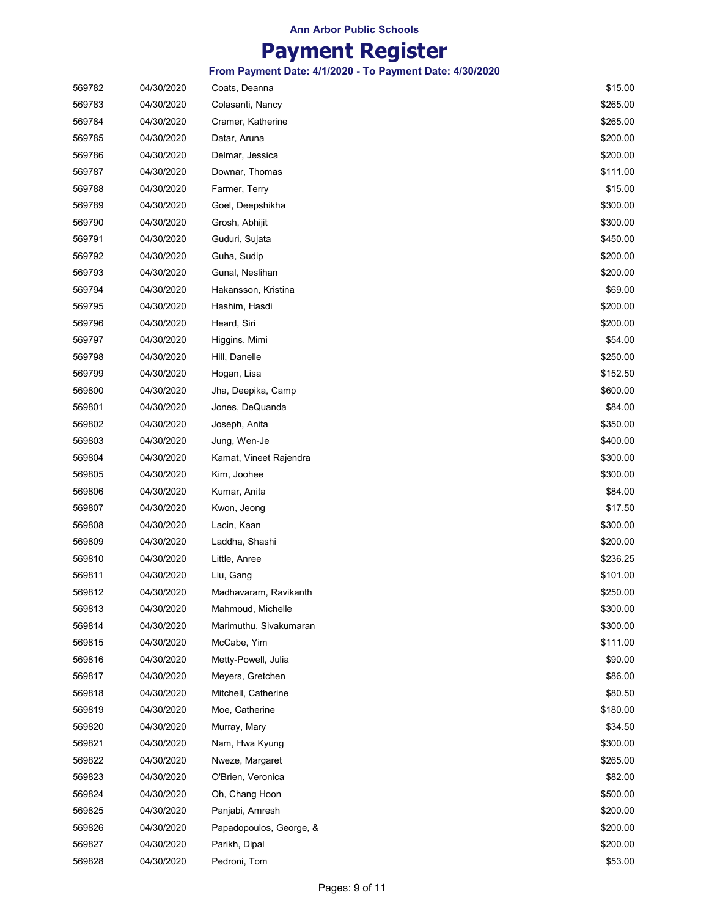### **Payment Register**

| 569782 | 04/30/2020 | Coats, Deanna           | \$15.00  |
|--------|------------|-------------------------|----------|
| 569783 | 04/30/2020 | Colasanti, Nancy        | \$265.00 |
| 569784 | 04/30/2020 | Cramer, Katherine       | \$265.00 |
| 569785 | 04/30/2020 | Datar, Aruna            | \$200.00 |
| 569786 | 04/30/2020 | Delmar, Jessica         | \$200.00 |
| 569787 | 04/30/2020 | Downar, Thomas          | \$111.00 |
| 569788 | 04/30/2020 | Farmer, Terry           | \$15.00  |
| 569789 | 04/30/2020 | Goel, Deepshikha        | \$300.00 |
| 569790 | 04/30/2020 | Grosh, Abhijit          | \$300.00 |
| 569791 | 04/30/2020 | Guduri, Sujata          | \$450.00 |
| 569792 | 04/30/2020 | Guha, Sudip             | \$200.00 |
| 569793 | 04/30/2020 | Gunal, Neslihan         | \$200.00 |
| 569794 | 04/30/2020 | Hakansson, Kristina     | \$69.00  |
| 569795 | 04/30/2020 | Hashim, Hasdi           | \$200.00 |
| 569796 | 04/30/2020 | Heard, Siri             | \$200.00 |
| 569797 | 04/30/2020 | Higgins, Mimi           | \$54.00  |
| 569798 | 04/30/2020 | Hill, Danelle           | \$250.00 |
| 569799 | 04/30/2020 | Hogan, Lisa             | \$152.50 |
| 569800 | 04/30/2020 | Jha, Deepika, Camp      | \$600.00 |
| 569801 | 04/30/2020 | Jones, DeQuanda         | \$84.00  |
| 569802 | 04/30/2020 | Joseph, Anita           | \$350.00 |
| 569803 | 04/30/2020 | Jung, Wen-Je            | \$400.00 |
| 569804 | 04/30/2020 | Kamat, Vineet Rajendra  | \$300.00 |
| 569805 | 04/30/2020 | Kim, Joohee             | \$300.00 |
| 569806 | 04/30/2020 | Kumar, Anita            | \$84.00  |
| 569807 | 04/30/2020 | Kwon, Jeong             | \$17.50  |
| 569808 | 04/30/2020 | Lacin, Kaan             | \$300.00 |
| 569809 | 04/30/2020 | Laddha, Shashi          | \$200.00 |
| 569810 | 04/30/2020 | Little, Anree           | \$236.25 |
| 569811 | 04/30/2020 | Liu, Gang               | \$101.00 |
| 569812 | 04/30/2020 | Madhavaram, Ravikanth   | \$250.00 |
| 569813 | 04/30/2020 | Mahmoud, Michelle       | \$300.00 |
| 569814 | 04/30/2020 | Marimuthu, Sivakumaran  | \$300.00 |
| 569815 | 04/30/2020 | McCabe, Yim             | \$111.00 |
| 569816 | 04/30/2020 | Metty-Powell, Julia     | \$90.00  |
| 569817 | 04/30/2020 | Meyers, Gretchen        | \$86.00  |
| 569818 | 04/30/2020 | Mitchell, Catherine     | \$80.50  |
| 569819 | 04/30/2020 | Moe, Catherine          | \$180.00 |
| 569820 | 04/30/2020 | Murray, Mary            | \$34.50  |
| 569821 | 04/30/2020 | Nam, Hwa Kyung          | \$300.00 |
| 569822 | 04/30/2020 | Nweze, Margaret         | \$265.00 |
| 569823 | 04/30/2020 | O'Brien, Veronica       | \$82.00  |
| 569824 | 04/30/2020 | Oh, Chang Hoon          | \$500.00 |
| 569825 | 04/30/2020 | Panjabi, Amresh         | \$200.00 |
| 569826 | 04/30/2020 | Papadopoulos, George, & | \$200.00 |
| 569827 | 04/30/2020 | Parikh, Dipal           | \$200.00 |
| 569828 | 04/30/2020 | Pedroni, Tom            | \$53.00  |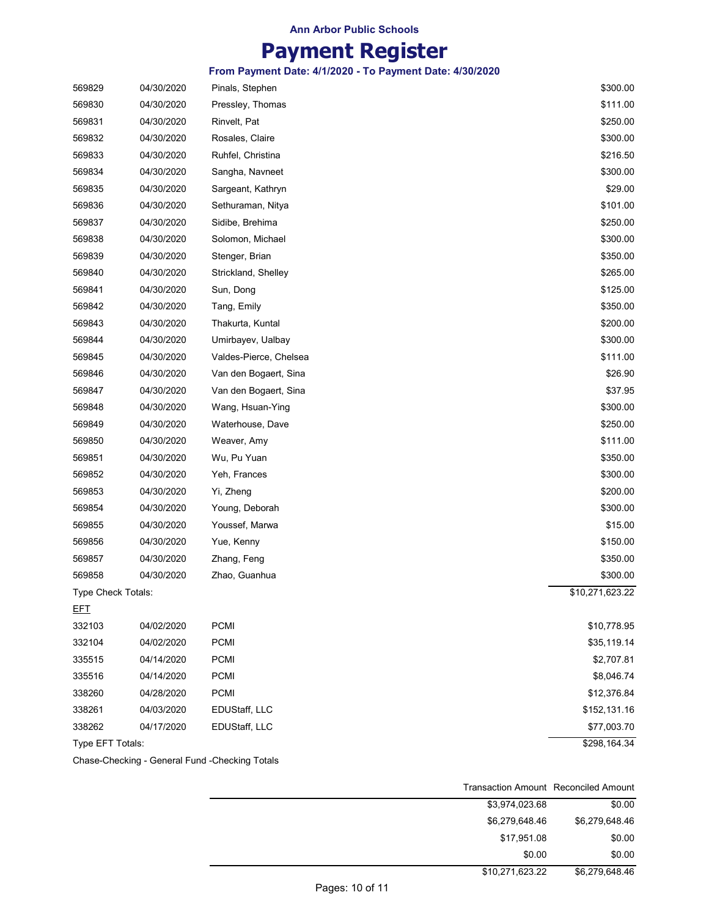# **Payment Register**

**From Payment Date: 4/1/2020 - To Payment Date: 4/30/2020**

| 569829             | 04/30/2020 | Pinals, Stephen        | \$300.00        |
|--------------------|------------|------------------------|-----------------|
| 569830             | 04/30/2020 | Pressley, Thomas       | \$111.00        |
| 569831             | 04/30/2020 | Rinvelt, Pat           | \$250.00        |
| 569832             | 04/30/2020 | Rosales, Claire        | \$300.00        |
| 569833             | 04/30/2020 | Ruhfel, Christina      | \$216.50        |
| 569834             | 04/30/2020 | Sangha, Navneet        | \$300.00        |
| 569835             | 04/30/2020 | Sargeant, Kathryn      | \$29.00         |
| 569836             | 04/30/2020 | Sethuraman, Nitya      | \$101.00        |
| 569837             | 04/30/2020 | Sidibe, Brehima        | \$250.00        |
| 569838             | 04/30/2020 | Solomon, Michael       | \$300.00        |
| 569839             | 04/30/2020 | Stenger, Brian         | \$350.00        |
| 569840             | 04/30/2020 | Strickland, Shelley    | \$265.00        |
| 569841             | 04/30/2020 | Sun, Dong              | \$125.00        |
| 569842             | 04/30/2020 | Tang, Emily            | \$350.00        |
| 569843             | 04/30/2020 | Thakurta, Kuntal       | \$200.00        |
| 569844             | 04/30/2020 | Umirbayev, Ualbay      | \$300.00        |
| 569845             | 04/30/2020 | Valdes-Pierce, Chelsea | \$111.00        |
| 569846             | 04/30/2020 | Van den Bogaert, Sina  | \$26.90         |
| 569847             | 04/30/2020 | Van den Bogaert, Sina  | \$37.95         |
| 569848             | 04/30/2020 | Wang, Hsuan-Ying       | \$300.00        |
| 569849             | 04/30/2020 | Waterhouse, Dave       | \$250.00        |
| 569850             | 04/30/2020 | Weaver, Amy            | \$111.00        |
| 569851             | 04/30/2020 | Wu, Pu Yuan            | \$350.00        |
| 569852             | 04/30/2020 | Yeh, Frances           | \$300.00        |
| 569853             | 04/30/2020 | Yi, Zheng              | \$200.00        |
| 569854             | 04/30/2020 | Young, Deborah         | \$300.00        |
| 569855             | 04/30/2020 | Youssef, Marwa         | \$15.00         |
| 569856             | 04/30/2020 | Yue, Kenny             | \$150.00        |
| 569857             | 04/30/2020 | Zhang, Feng            | \$350.00        |
| 569858             | 04/30/2020 | Zhao, Guanhua          | \$300.00        |
| Type Check Totals: |            |                        | \$10,271,623.22 |
| <u>EFT</u>         |            |                        |                 |
| 332103             | 04/02/2020 | <b>PCMI</b>            | \$10,778.95     |
| 332104             | 04/02/2020 | <b>PCMI</b>            | \$35,119.14     |
| 335515             | 04/14/2020 | <b>PCMI</b>            | \$2,707.81      |
| 335516             | 04/14/2020 | <b>PCMI</b>            | \$8,046.74      |
| 338260             | 04/28/2020 | <b>PCMI</b>            | \$12,376.84     |
| 338261             | 04/03/2020 | EDUStaff, LLC          | \$152,131.16    |
| 338262             | 04/17/2020 | EDUStaff, LLC          | \$77,003.70     |
| Type EFT Totals:   |            |                        | \$298,164.34    |
|                    |            |                        |                 |

Chase-Checking - General Fund -Checking Totals

|                | Transaction Amount Reconciled Amount |
|----------------|--------------------------------------|
| \$0.00         | \$3,974,023.68                       |
| \$6,279,648.46 | \$6,279,648.46                       |
| \$0.00         | \$17,951.08                          |
| \$0.00         | \$0.00                               |
| \$6,279,648.46 | \$10,271,623.22                      |